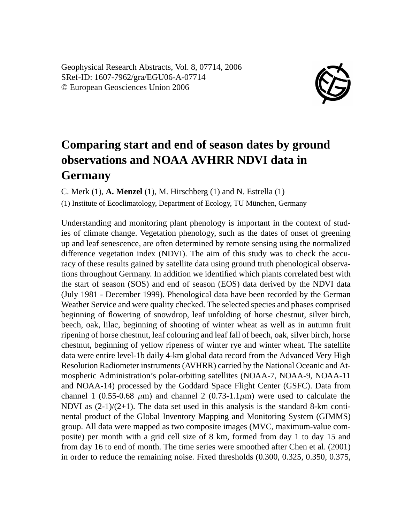Geophysical Research Abstracts, Vol. 8, 07714, 2006 SRef-ID: 1607-7962/gra/EGU06-A-07714 © European Geosciences Union 2006



## **Comparing start and end of season dates by ground observations and NOAA AVHRR NDVI data in Germany**

C. Merk (1), **A. Menzel** (1), M. Hirschberg (1) and N. Estrella (1)

(1) Institute of Ecoclimatology, Department of Ecology, TU München, Germany

Understanding and monitoring plant phenology is important in the context of studies of climate change. Vegetation phenology, such as the dates of onset of greening up and leaf senescence, are often determined by remote sensing using the normalized difference vegetation index (NDVI). The aim of this study was to check the accuracy of these results gained by satellite data using ground truth phenological observations throughout Germany. In addition we identified which plants correlated best with the start of season (SOS) and end of season (EOS) data derived by the NDVI data (July 1981 - December 1999). Phenological data have been recorded by the German Weather Service and were quality checked. The selected species and phases comprised beginning of flowering of snowdrop, leaf unfolding of horse chestnut, silver birch, beech, oak, lilac, beginning of shooting of winter wheat as well as in autumn fruit ripening of horse chestnut, leaf colouring and leaf fall of beech, oak, silver birch, horse chestnut, beginning of yellow ripeness of winter rye and winter wheat. The satellite data were entire level-1b daily 4-km global data record from the Advanced Very High Resolution Radiometer instruments (AVHRR) carried by the National Oceanic and Atmospheric Administration's polar-orbiting satellites (NOAA-7, NOAA-9, NOAA-11 and NOAA-14) processed by the Goddard Space Flight Center (GSFC). Data from channel 1 (0.55-0.68  $\mu$ m) and channel 2 (0.73-1.1 $\mu$ m) were used to calculate the NDVI as  $(2-1)/(2+1)$ . The data set used in this analysis is the standard 8-km continental product of the Global Inventory Mapping and Monitoring System (GIMMS) group. All data were mapped as two composite images (MVC, maximum-value composite) per month with a grid cell size of 8 km, formed from day 1 to day 15 and from day 16 to end of month. The time series were smoothed after Chen et al. (2001) in order to reduce the remaining noise. Fixed thresholds (0.300, 0.325, 0.350, 0.375,